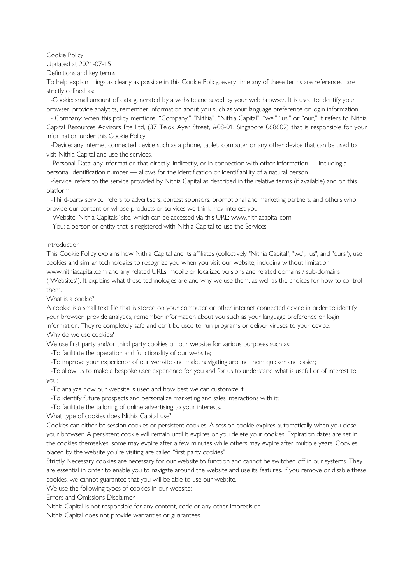Cookie Policy

Updated at 2021-07-15

Definitions and key terms

To help explain things as clearly as possible in this Cookie Policy, every time any of these terms are referenced, are strictly defined as:

 -Cookie: small amount of data generated by a website and saved by your web browser. It is used to identify your browser, provide analytics, remember information about you such as your language preference or login information.

 - Company: when this policy mentions '"Company," "Nithia", "Nithia Capital", "we," "us," or "our," it refers to Nithia Capital Resources Advisors Pte Ltd, (37 Telok Ayer Street, #08-01, Singapore 068602) that is responsible for your information under this Cookie Policy.

 -Device: any internet connected device such as a phone, tablet, computer or any other device that can be used to visit Nithia Capital and use the services.

 -Personal Data: any information that directly, indirectly, or in connection with other information — including a personal identification number — allows for the identification or identifiability of a natural person.

 -Service: refers to the service provided by Nithia Capital as described in the relative terms (if available) and on this platform.

 -Third-party service: refers to advertisers, contest sponsors, promotional and marketing partners, and others who provide our content or whose products or services we think may interest you.

-Website: Nithia Capitals" site, which can be accessed via this URL: www.nithiacapital.com

-You: a person or entity that is registered with Nithia Capital to use the Services.

## Introduction

This Cookie Policy explains how Nithia Capital and its affiliates (collectively "Nithia Capital", "we", "us", and "ours"), use cookies and similar technologies to recognize you when you visit our website, including without limitation www.nithiacapital.com and any related URLs, mobile or localized versions and related domains / sub-domains ("Websites"). It explains what these technologies are and why we use them, as well as the choices for how to control them.

What is a cookie?

A cookie is a small text file that is stored on your computer or other internet connected device in order to identify your browser, provide analytics, remember information about you such as your language preference or login information. They're completely safe and can't be used to run programs or deliver viruses to your device. Why do we use cookies?

We use first party and/or third party cookies on our website for various purposes such as:

-To facilitate the operation and functionality of our website;

-To improve your experience of our website and make navigating around them quicker and easier;

 -To allow us to make a bespoke user experience for you and for us to understand what is useful or of interest to you;

-To analyze how our website is used and how best we can customize it;

-To identify future prospects and personalize marketing and sales interactions with it;

-To facilitate the tailoring of online advertising to your interests.

What type of cookies does Nithia Capital use?

Cookies can either be session cookies or persistent cookies. A session cookie expires automatically when you close your browser. A persistent cookie will remain until it expires or you delete your cookies. Expiration dates are set in the cookies themselves; some may expire after a few minutes while others may expire after multiple years. Cookies placed by the website you're visiting are called "first party cookies".

Strictly Necessary cookies are necessary for our website to function and cannot be switched off in our systems. They are essential in order to enable you to navigate around the website and use its features. If you remove or disable these cookies, we cannot guarantee that you will be able to use our website.

We use the following types of cookies in our website:

Errors and Omissions Disclaimer

Nithia Capital is not responsible for any content, code or any other imprecision.

Nithia Capital does not provide warranties or guarantees.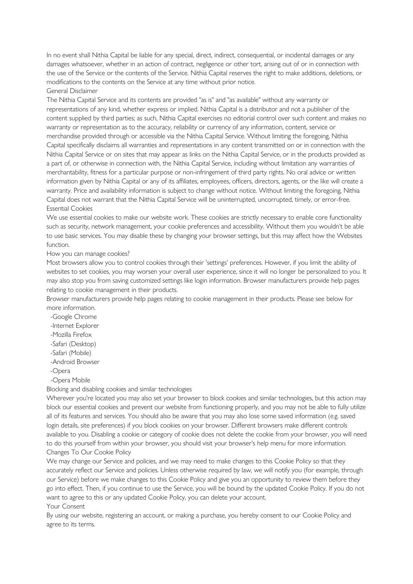In no event shall Nithia Capital be liable for any special, direct, indirect, consequential, or incidental damages or any damages whatsoever, whether in an action of contract, negligence or other tort, arising out of or in connection with the use of the Service or the contents of the Service. Nithia Capital reserves the right to make additions, deletions, or modifications to the contents on the Service at any time without prior notice. General Disclaimer

The Nithia Capital Service and its contents are provided "as is" and "as available" without any warranty or representations of any kind, whether express or implied. Nithia Capital is a distributor and not a publisher of the content supplied by third parties; as such, Nithia Capital exercises no editorial control over such content and makes no warranty or representation as to the accuracy, reliability or currency of any information, content, service or merchandise provided through or accessible via the Nithia Capital Service. Without limiting the foregoing, Nithia Capital specifically disclaims all warranties and representations in any content transmitted on or in connection with the Nithia Capital Service or on sites that may appear as links on the Nithia Capital Service, or in the products provided as a part of, or otherwise in connection with, the Nithia Capital Service, including without limitation any warranties of merchantability, fitness for a particular purpose or non-infringement of third party rights. No oral advice or written information given by Nithia Capital or any of its affiliates, employees, officers, directors, agents, or the like will create a warranty. Price and availability information is subject to change without notice. Without limiting the foregoing, Nithia Capital does not warrant that the Nithia Capital Service will be uninterrupted, uncorrupted, timely, or error-free. Essential Cookies

We use essential cookies to make our website work. These cookies are strictly necessary to enable core functionality such as security, network management, your cookie preferences and accessibility. Without them you wouldn't be able to use basic services. You may disable these by changing your browser settings, but this may affect how the Websites function.

## How you can manage cookies?

Most browsers allow you to control cookies through their 'settings' preferences. However, if you limit the ability of websites to set cookies, you may worsen your overall user experience, since it will no longer be personalized to you. It may also stop you from saving customized settings like login information. Browser manufacturers provide help pages relating to cookie management in their products.

Browser manufacturers provide help pages relating to cookie management in their products. Please see below for more information.

-Google Chrome

-Internet Explorer

-Mozilla Firefox

-Safari (Desktop)

-Safari (Mobile)

-Android Browser

-Opera

-Opera Mobile

Blocking and disabling cookies and similar technologies

Wherever you're located you may also set your browser to block cookies and similar technologies, but this action may block our essential cookies and prevent our website from functioning properly, and you may not be able to fully utilize all of its features and services. You should also be aware that you may also lose some saved information (e.g. saved login details, site preferences) if you block cookies on your browser. Different browsers make different controls available to you. Disabling a cookie or category of cookie does not delete the cookie from your browser, you will need to do this yourself from within your browser, you should visit your browser's help menu for more information. Changes To Our Cookie Policy

We may change our Service and policies, and we may need to make changes to this Cookie Policy so that they accurately reflect our Service and policies. Unless otherwise required by law, we will notify you (for example, through our Service) before we make changes to this Cookie Policy and give you an opportunity to review them before they go into effect. Then, if you continue to use the Service, you will be bound by the updated Cookie Policy. If you do not want to agree to this or any updated Cookie Policy, you can delete your account.

Your Consent

By using our website, registering an account, or making a purchase, you hereby consent to our Cookie Policy and agree to its terms.